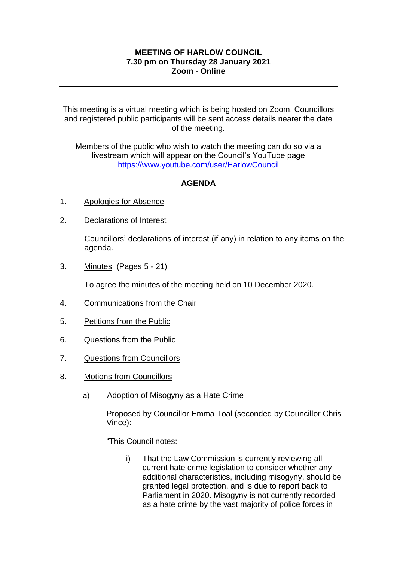#### **MEETING OF HARLOW COUNCIL 7.30 pm on Thursday 28 January 2021 Zoom - Online**

This meeting is a virtual meeting which is being hosted on Zoom. Councillors and registered public participants will be sent access details nearer the date of the meeting.

Members of the public who wish to watch the meeting can do so via a livestream which will appear on the Council's YouTube page <https://www.youtube.com/user/HarlowCouncil>

#### **AGENDA**

- 1. Apologies for Absence
- 2. Declarations of Interest

Councillors' declarations of interest (if any) in relation to any items on the agenda.

3. Minutes (Pages 5 - 21)

To agree the minutes of the meeting held on 10 December 2020.

- 4. Communications from the Chair
- 5. Petitions from the Public
- 6. Questions from the Public
- 7. Questions from Councillors
- 8. Motions from Councillors
	- a) Adoption of Misogyny as a Hate Crime

Proposed by Councillor Emma Toal (seconded by Councillor Chris Vince):

"This Council notes:

i) That the Law Commission is currently reviewing all current hate crime legislation to consider whether any additional characteristics, including misogyny, should be granted legal protection, and is due to report back to Parliament in 2020. Misogyny is not currently recorded as a hate crime by the vast majority of police forces in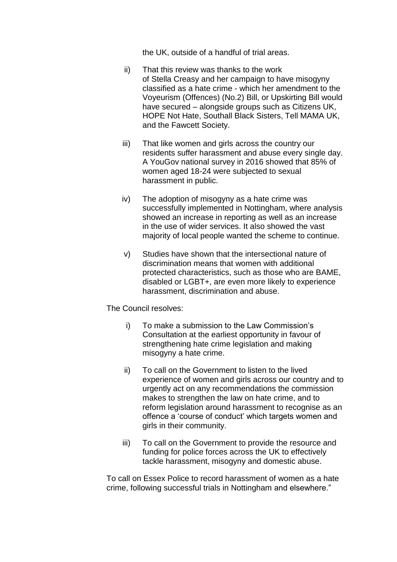the UK, outside of a handful of trial areas.

- ii) That this review was thanks to the work of Stella Creasy and her campaign to have misogyny classified as a hate crime - which her amendment to the Voyeurism (Offences) (No.2) Bill, or Upskirting Bill would have secured – alongside groups such as Citizens UK, HOPE Not Hate, Southall Black Sisters, Tell MAMA UK, and the Fawcett Society.
- iii) That like women and girls across the country our residents suffer harassment and abuse every single day. A YouGov national survey in 2016 showed that 85% of women aged 18-24 were subjected to sexual harassment in public.
- iv) The adoption of misogyny as a hate crime was successfully implemented in Nottingham, where analysis showed an increase in reporting as well as an increase in the use of wider services. It also showed the vast majority of local people wanted the scheme to continue.
- v) Studies have shown that the intersectional nature of discrimination means that women with additional protected characteristics, such as those who are BAME, disabled or LGBT+, are even more likely to experience harassment, discrimination and abuse.

The Council resolves:

- i) To make a submission to the Law Commission's Consultation at the earliest opportunity in favour of strengthening hate crime legislation and making misogyny a hate crime.
- ii) To call on the Government to listen to the lived experience of women and girls across our country and to urgently act on any recommendations the commission makes to strengthen the law on hate crime, and to reform legislation around harassment to recognise as an offence a 'course of conduct' which targets women and girls in their community.
- iii) To call on the Government to provide the resource and funding for police forces across the UK to effectively tackle harassment, misogyny and domestic abuse.

To call on Essex Police to record harassment of women as a hate crime, following successful trials in Nottingham and elsewhere."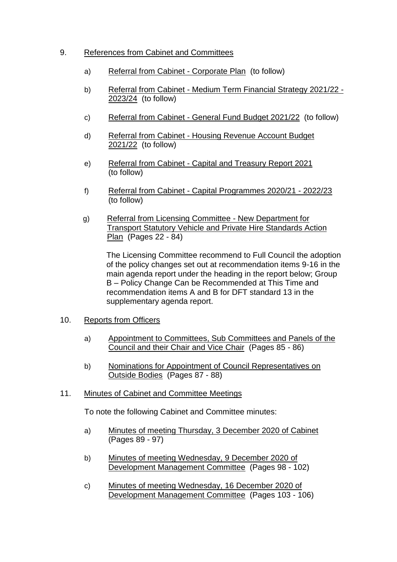### 9. References from Cabinet and Committees

- a) Referral from Cabinet Corporate Plan (to follow)
- b) Referral from Cabinet Medium Term Financial Strategy 2021/22 2023/24 (to follow)
- c) Referral from Cabinet General Fund Budget 2021/22 (to follow)
- d) Referral from Cabinet Housing Revenue Account Budget 2021/22 (to follow)
- e) Referral from Cabinet Capital and Treasury Report 2021 (to follow)
- f) Referral from Cabinet Capital Programmes 2020/21 2022/23 (to follow)
- g) Referral from Licensing Committee New Department for Transport Statutory Vehicle and Private Hire Standards Action Plan (Pages 22 - 84)

The Licensing Committee recommend to Full Council the adoption of the policy changes set out at recommendation items 9-16 in the main agenda report under the heading in the report below; Group B – Policy Change Can be Recommended at This Time and recommendation items A and B for DFT standard 13 in the supplementary agenda report.

#### 10. Reports from Officers

- a) Appointment to Committees, Sub Committees and Panels of the Council and their Chair and Vice Chair (Pages 85 - 86)
- b) Nominations for Appointment of Council Representatives on Outside Bodies (Pages 87 - 88)

## 11. Minutes of Cabinet and Committee Meetings

To note the following Cabinet and Committee minutes:

- a) Minutes of meeting Thursday, 3 December 2020 of Cabinet (Pages 89 - 97)
- b) Minutes of meeting Wednesday, 9 December 2020 of Development Management Committee (Pages 98 - 102)
- c) Minutes of meeting Wednesday, 16 December 2020 of Development Management Committee (Pages 103 - 106)